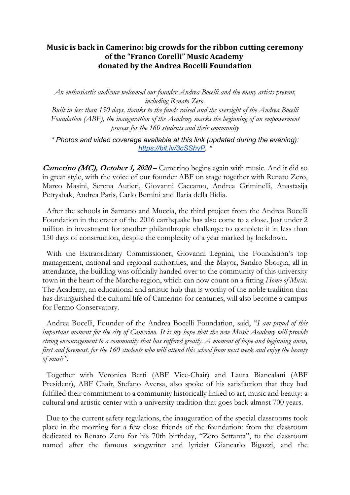## **Music is back in Camerino: big crowds for the ribbon cutting ceremony** of the "Franco Corelli" Music Academy **donated by the Andrea Bocelli Foundation**

*An enthusiastic audience welcomed our founder Andrea Bocelli and the many artists present, including Renato Zero.* 

*Built in less than 150 days, thanks to the funds raised and the oversight of the Andrea Bocelli Foundation (ABF), the inauguration of the Academy marks the beginning of an empowerment process for the 160 students and their community*

*\* Photos and video coverage available at this link (updated during the evening): https://bit.ly/3cSShyP. \**

**Camerino (MC), October 1, 2020 –** Camerino begins again with music. And it did so in great style, with the voice of our founder ABF on stage together with Renato Zero, Marco Masini, Serena Autieri, Giovanni Caccamo, Andrea Griminelli, Anastasija Petryshak, Andrea Paris, Carlo Bernini and Ilaria della Bidia.

After the schools in Sarnano and Muccia, the third project from the Andrea Bocelli Foundation in the crater of the 2016 earthquake has also come to a close. Just under 2 million in investment for another philanthropic challenge: to complete it in less than 150 days of construction, despite the complexity of a year marked by lockdown.

With the Extraordinary Commissioner, Giovanni Legnini, the Foundation's top management, national and regional authorities, and the Mayor, Sandro Sborgia, all in attendance, the building was officially handed over to the community of this university town in the heart of the Marche region, which can now count on a fitting *Home of Music*. The Academy, an educational and artistic hub that is worthy of the noble tradition that has distinguished the cultural life of Camerino for centuries, will also become a campus for Fermo Conservatory.

Andrea Bocelli, Founder of the Andrea Bocelli Foundation, said, "*I am proud of this important moment for the city of Camerino. It is my hope that the new Music Academy will provide strong encouragement to a community that has suffered greatly. A moment of hope and beginning anew, first and foremost, for the 160 students who will attend this school from next week and enjoy the beauty of music".*

Together with Veronica Berti (ABF Vice-Chair) and Laura Biancalani (ABF President), ABF Chair, Stefano Aversa, also spoke of his satisfaction that they had fulfilled their commitment to a community historically linked to art, music and beauty: a cultural and artistic center with a university tradition that goes back almost 700 years.

Due to the current safety regulations, the inauguration of the special classrooms took place in the morning for a few close friends of the foundation: from the classroom dedicated to Renato Zero for his 70th birthday, "Zero Settanta", to the classroom named after the famous songwriter and lyricist Giancarlo Bigazzi, and the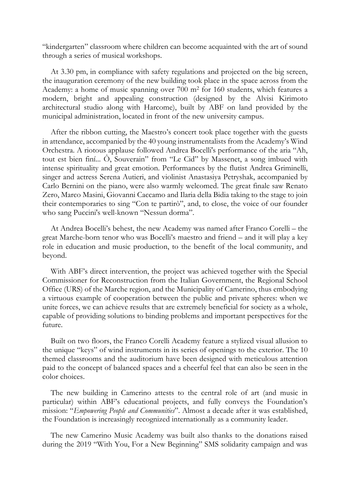"kindergarten" classroom where children can become acquainted with the art of sound through a series of musical workshops.

At 3.30 pm, in compliance with safety regulations and projected on the big screen, the inauguration ceremony of the new building took place in the space across from the Academy: a home of music spanning over 700 m2 for 160 students, which features a modern, bright and appealing construction (designed by the Alvisi Kirimoto architectural studio along with Harcome), built by ABF on land provided by the municipal administration, located in front of the new university campus.

After the ribbon cutting, the Maestro's concert took place together with the guests in attendance, accompanied by the 40 young instrumentalists from the Academy's Wind Orchestra. A riotous applause followed Andrea Bocelli's performance of the aria "Ah, tout est bien finí... Ô, Souverain" from "Le Cid" by Massenet, a song imbued with intense spirituality and great emotion. Performances by the flutist Andrea Griminelli, singer and actress Serena Autieri, and violinist Anastasiya Petryshak, accompanied by Carlo Bernini on the piano, were also warmly welcomed. The great finale saw Renato Zero, Marco Masini, Giovanni Caccamo and Ilaria della Bidia taking to the stage to join their contemporaries to sing "Con te partirò", and, to close, the voice of our founder who sang Puccini's well-known "Nessun dorma".

At Andrea Bocelli's behest, the new Academy was named after Franco Corelli – the great Marche-born tenor who was Bocelli's maestro and friend – and it will play a key role in education and music production, to the benefit of the local community, and beyond.

With ABF's direct intervention, the project was achieved together with the Special Commissioner for Reconstruction from the Italian Government, the Regional School Office (URS) of the Marche region, and the Municipality of Camerino, thus embodying a virtuous example of cooperation between the public and private spheres: when we unite forces, we can achieve results that are extremely beneficial for society as a whole, capable of providing solutions to binding problems and important perspectives for the future.

Built on two floors, the Franco Corelli Academy feature a stylized visual allusion to the unique "keys" of wind instruments in its series of openings to the exterior. The 10 themed classrooms and the auditorium have been designed with meticulous attention paid to the concept of balanced spaces and a cheerful feel that can also be seen in the color choices.

The new building in Camerino attests to the central role of art (and music in particular) within ABF's educational projects, and fully conveys the Foundation's mission: "*Empowering People and Communities*". Almost a decade after it was established, the Foundation is increasingly recognized internationally as a community leader.

The new Camerino Music Academy was built also thanks to the donations raised during the 2019 "With You, For a New Beginning" SMS solidarity campaign and was